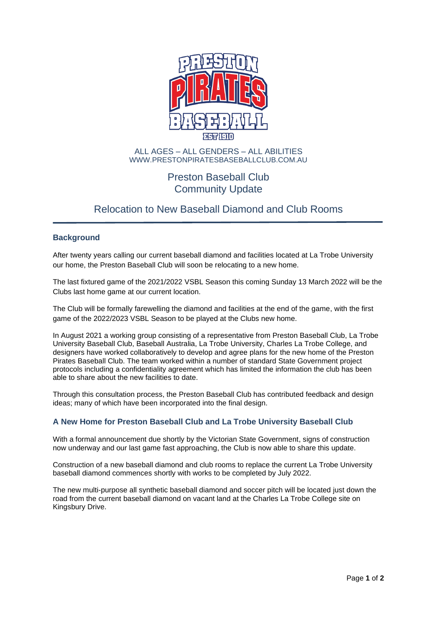

## ALL AGES – ALL GENDERS – ALL ABILITIES WWW.PRESTONPIRATESBASEBALLCLUB.COM.AU

## Preston Baseball Club Community Update

# Relocation to New Baseball Diamond and Club Rooms

## **Background**

After twenty years calling our current baseball diamond and facilities located at La Trobe University our home, the Preston Baseball Club will soon be relocating to a new home.

The last fixtured game of the 2021/2022 VSBL Season this coming Sunday 13 March 2022 will be the Clubs last home game at our current location.

The Club will be formally farewelling the diamond and facilities at the end of the game, with the first game of the 2022/2023 VSBL Season to be played at the Clubs new home.

In August 2021 a working group consisting of a representative from Preston Baseball Club, La Trobe University Baseball Club, Baseball Australia, La Trobe University, Charles La Trobe College, and designers have worked collaboratively to develop and agree plans for the new home of the Preston Pirates Baseball Club. The team worked within a number of standard State Government project protocols including a confidentiality agreement which has limited the information the club has been able to share about the new facilities to date.

Through this consultation process, the Preston Baseball Club has contributed feedback and design ideas; many of which have been incorporated into the final design.

### **A New Home for Preston Baseball Club and La Trobe University Baseball Club**

With a formal announcement due shortly by the Victorian State Government, signs of construction now underway and our last game fast approaching, the Club is now able to share this update.

Construction of a new baseball diamond and club rooms to replace the current La Trobe University baseball diamond commences shortly with works to be completed by July 2022.

The new multi-purpose all synthetic baseball diamond and soccer pitch will be located just down the road from the current baseball diamond on vacant land at the Charles La Trobe College site on Kingsbury Drive.